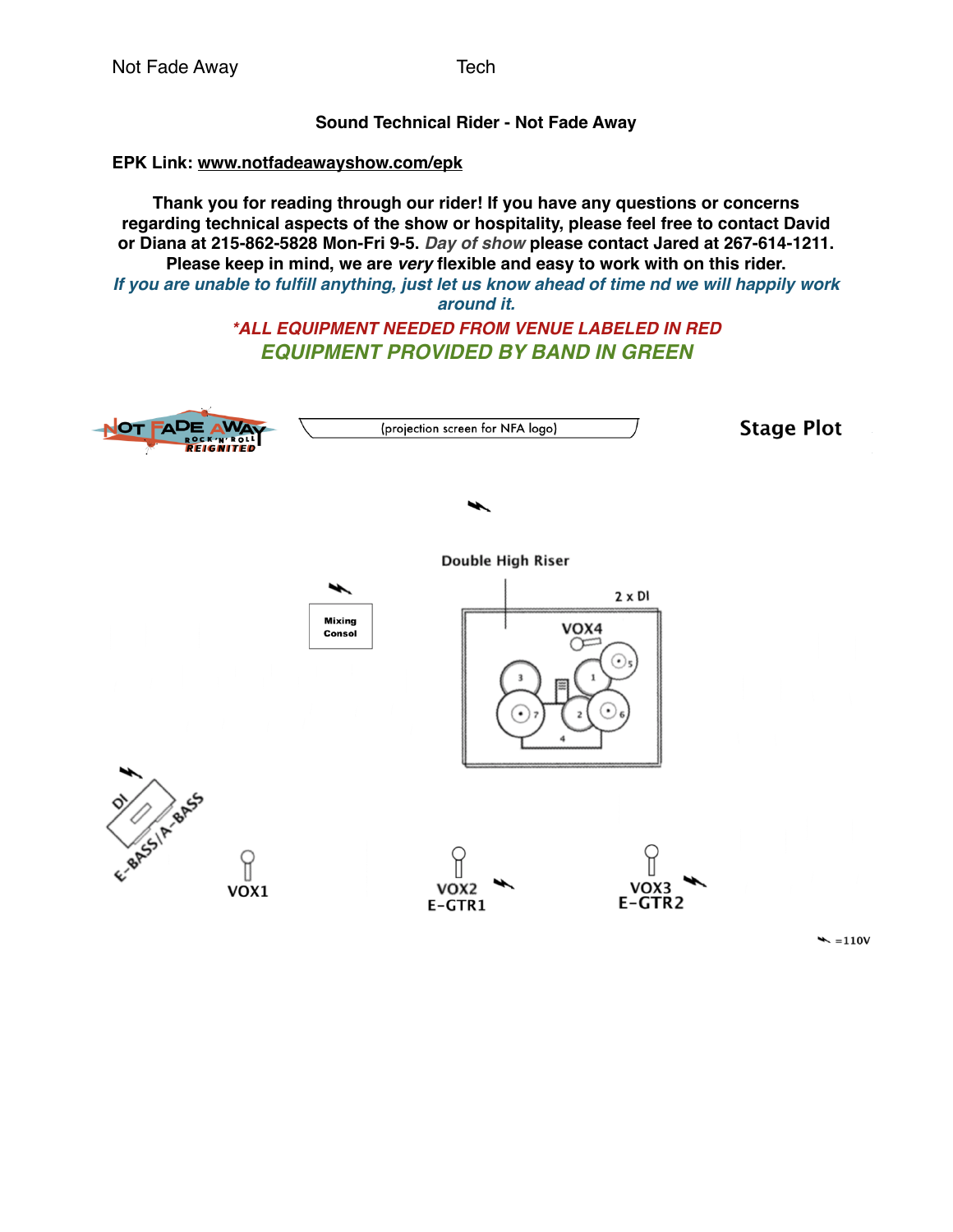### **Sound Technical Rider - Not Fade Away**

# **EPK Link: [www.notfadeawayshow.com/epk](http://www.notfadeawayshow.com/epk)**

**Thank you for reading through our rider! If you have any questions or concerns regarding technical aspects of the show or hospitality, please feel free to contact David or Diana at 215-862-5828 Mon-Fri 9-5.** *Day of show* **please contact Jared at 267-614-1211. Please keep in mind, we are** *very* **flexible and easy to work with on this rider.** *If you are unable to fulfill anything, just let us know ahead of time nd we will happily work around it.*

# *\*ALL EQUIPMENT NEEDED FROM VENUE LABELED IN RED EQUIPMENT PROVIDED BY BAND IN GREEN*



 $\blacktriangleright$  =110V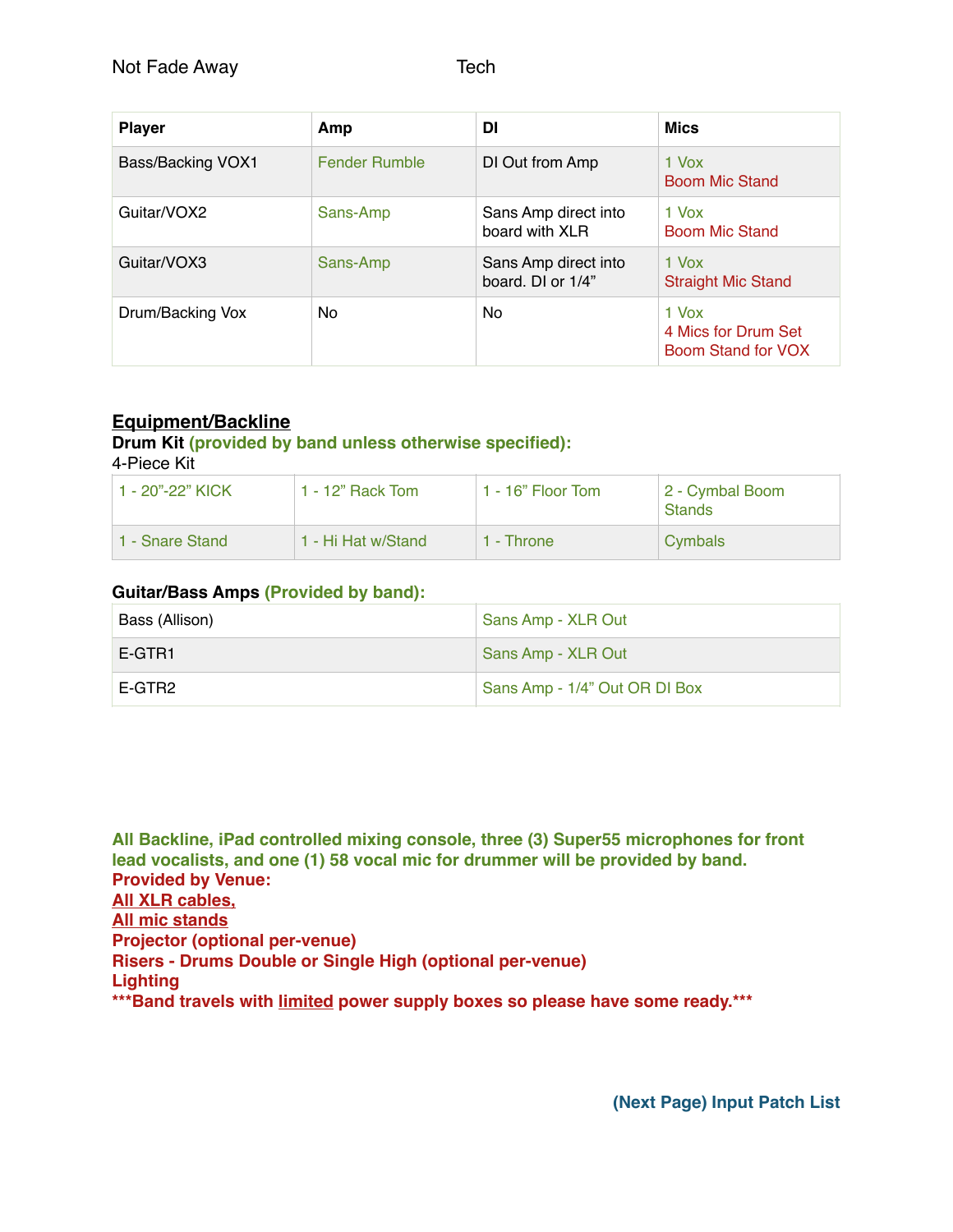| <b>Player</b>     | Amp           | DI                                        | <b>Mics</b>                                        |
|-------------------|---------------|-------------------------------------------|----------------------------------------------------|
| Bass/Backing VOX1 | Fender Rumble | DI Out from Amp                           | 1 Vox<br><b>Boom Mic Stand</b>                     |
| Guitar/VOX2       | Sans-Amp      | Sans Amp direct into<br>board with XLR    | 1 Vox<br><b>Boom Mic Stand</b>                     |
| Guitar/VOX3       | Sans-Amp      | Sans Amp direct into<br>board. DI or 1/4" | $1$ Vox<br><b>Straight Mic Stand</b>               |
| Drum/Backing Vox  | No            | No.                                       | 1 Vox<br>4 Mics for Drum Set<br>Boom Stand for VOX |

# **Equipment/Backline**

## **Drum Kit (provided by band unless otherwise specified):**

4-Piece Kit

| 1 - 20"-22" KICK | 1 - 12" Rack Tom   | $1 - 16$ " Floor Tom | 2 - Cymbal Boom<br><b>Stands</b> |
|------------------|--------------------|----------------------|----------------------------------|
| 1 - Snare Stand  | 1 - Hi Hat w/Stand | 1 - Throne           | Cymbals                          |

### **Guitar/Bass Amps (Provided by band):**

| Bass (Allison) | Sans Amp - XLR Out            |
|----------------|-------------------------------|
| E-GTR1         | Sans Amp - XLR Out            |
| E-GTR2         | Sans Amp - 1/4" Out OR DI Box |

**All Backline, iPad controlled mixing console, three (3) Super55 microphones for front lead vocalists, and one (1) 58 vocal mic for drummer will be provided by band. Provided by Venue: All XLR cables, All mic stands Projector (optional per-venue) Risers - Drums Double or Single High (optional per-venue) Lighting \*\*\*Band travels with limited power supply boxes so please have some ready.\*\*\***

**(Next Page) Input Patch List**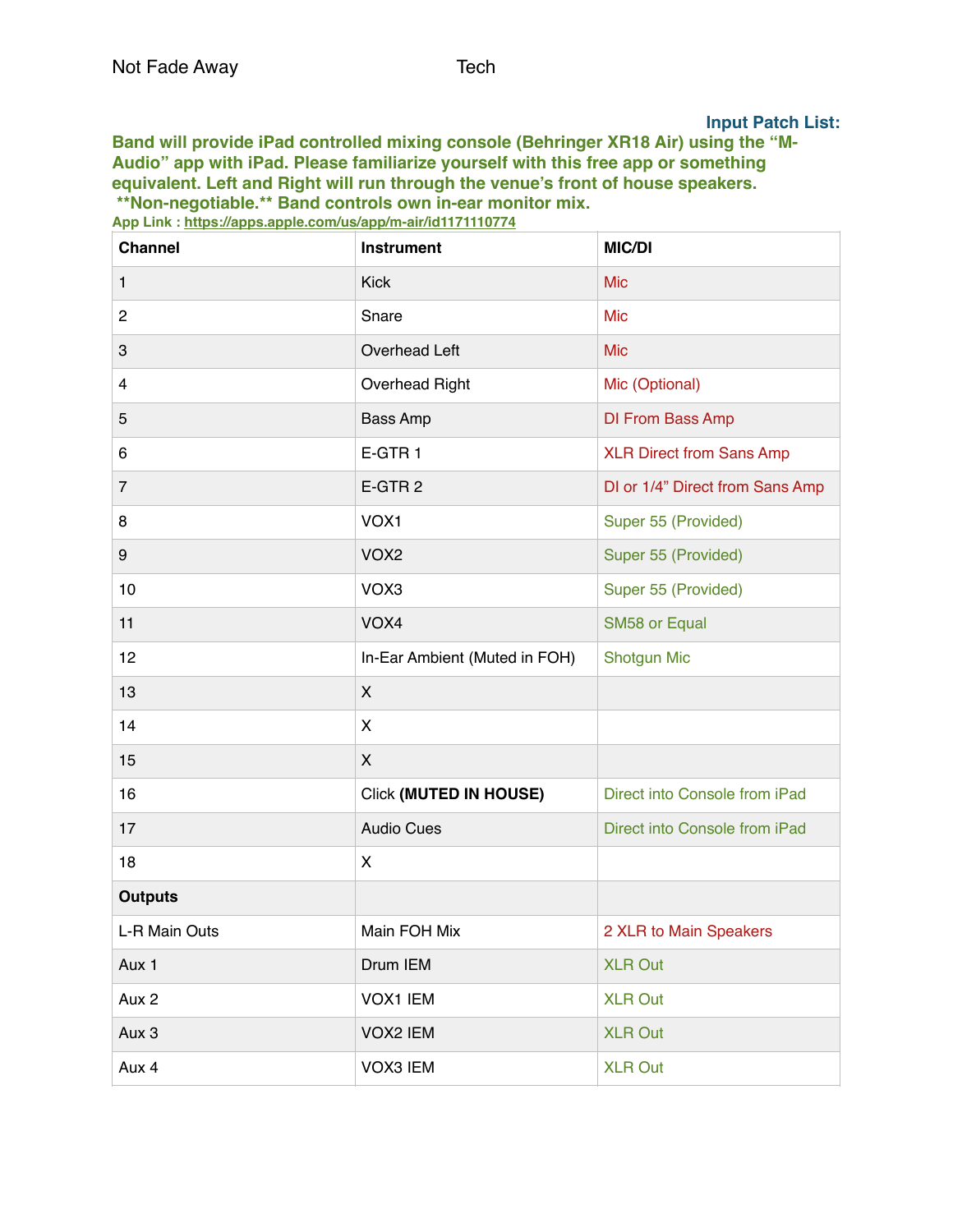#### **Input Patch List:**

**Band will provide iPad controlled mixing console (Behringer XR18 Air) using the "M-Audio" app with iPad. Please familiarize yourself with this free app or something equivalent. Left and Right will run through the venue's front of house speakers. \*\*Non-negotiable.\*\* Band controls own in-ear monitor mix.**

**Channel Instrument MIC/DI** 1 Nick Mickey and Mickey and Mickey and Mickey and Mickey and Mickey and Mickey and Mickey and Mickey and Mick 2 Snare Snare Mic 3 Overhead Left Mic 4 Overhead Right Mic (Optional) 5 Bass Amp DI From Bass Amp 6 **E-GTR 1** E-GTR 1 7 E-GTR 2 DI or 1/4" Direct from Sans Amp 8 VOX1 VOX1 Super 55 (Provided) 9 VOX2 VOX2 Super 55 (Provided) 10 VOX3 VOX3 Super 55 (Provided) 11 **VOX4** VOX4 SM58 or Equal 12 **In-Ear Ambient (Muted in FOH)** Shotgun Mic 13  $|X|$  $14$  X 15  $|X|$ 16 **Click (MUTED IN HOUSE)** Direct into Console from iPad 17 **Audio Cues Audio Cues** Direct into Console from iPad 18  $|X|$ **Outputs** L-R Main Outs Main FOH Mix 2 XLR to Main Speakers Aux 1 Drum IEM XLR Out Aux 2 **Aux 2** VOX1 IEM **XLR** Out Aux 3 VOX2 IEM XLR Out Aux 4 VOX3 IEM XLR Out

**App Link :<https://apps.apple.com/us/app/m-air/id1171110774>**